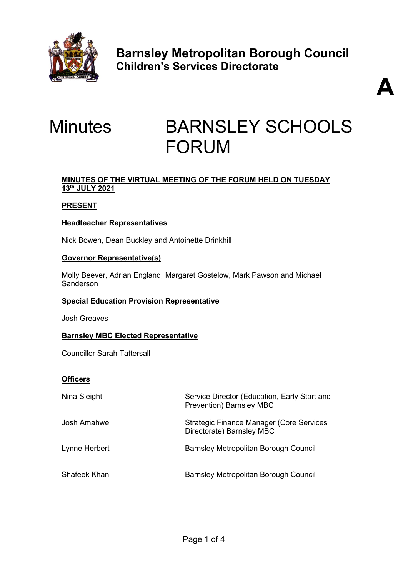

**Barnsley Metropolitan Borough Council Children's Services Directorate** 



# Minutes BARNSLEY SCHOOLS FORUM

# **MINUTES OF THE VIRTUAL MEETING OF THE FORUM HELD ON TUESDAY 13th JULY 2021**

# **PRESENT**

# **Headteacher Representatives**

Nick Bowen, Dean Buckley and Antoinette Drinkhill

# **Governor Representative(s)**

Molly Beever, Adrian England, Margaret Gostelow, Mark Pawson and Michael Sanderson

# **Special Education Provision Representative**

Josh Greaves

# **Barnsley MBC Elected Representative**

Councillor Sarah Tattersall

# **Officers**

| Nina Sleight  | Service Director (Education, Early Start and<br><b>Prevention) Barnsley MBC</b> |
|---------------|---------------------------------------------------------------------------------|
| Josh Amahwe   | <b>Strategic Finance Manager (Core Services</b><br>Directorate) Barnsley MBC    |
| Lynne Herbert | <b>Barnsley Metropolitan Borough Council</b>                                    |
| Shafeek Khan  | Barnsley Metropolitan Borough Council                                           |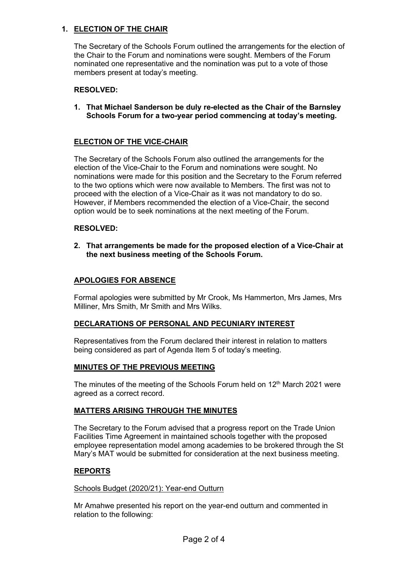# **1. ELECTION OF THE CHAIR**

The Secretary of the Schools Forum outlined the arrangements for the election of the Chair to the Forum and nominations were sought. Members of the Forum nominated one representative and the nomination was put to a vote of those members present at today's meeting.

# **RESOLVED:**

**1. That Michael Sanderson be duly re-elected as the Chair of the Barnsley Schools Forum for a two-year period commencing at today's meeting.**

### **ELECTION OF THE VICE-CHAIR**

The Secretary of the Schools Forum also outlined the arrangements for the election of the Vice-Chair to the Forum and nominations were sought. No nominations were made for this position and the Secretary to the Forum referred to the two options which were now available to Members. The first was not to proceed with the election of a Vice-Chair as it was not mandatory to do so. However, if Members recommended the election of a Vice-Chair, the second option would be to seek nominations at the next meeting of the Forum.

### **RESOLVED:**

**2. That arrangements be made for the proposed election of a Vice-Chair at the next business meeting of the Schools Forum.**

# **APOLOGIES FOR ABSENCE**

Formal apologies were submitted by Mr Crook, Ms Hammerton, Mrs James, Mrs Milliner, Mrs Smith, Mr Smith and Mrs Wilks.

#### **DECLARATIONS OF PERSONAL AND PECUNIARY INTEREST**

Representatives from the Forum declared their interest in relation to matters being considered as part of Agenda Item 5 of today's meeting.

#### **MINUTES OF THE PREVIOUS MEETING**

The minutes of the meeting of the Schools Forum held on  $12<sup>th</sup>$  March 2021 were agreed as a correct record.

# **MATTERS ARISING THROUGH THE MINUTES**

The Secretary to the Forum advised that a progress report on the Trade Union Facilities Time Agreement in maintained schools together with the proposed employee representation model among academies to be brokered through the St Mary's MAT would be submitted for consideration at the next business meeting.

# **REPORTS**

#### Schools Budget (2020/21): Year-end Outturn

Mr Amahwe presented his report on the year-end outturn and commented in relation to the following: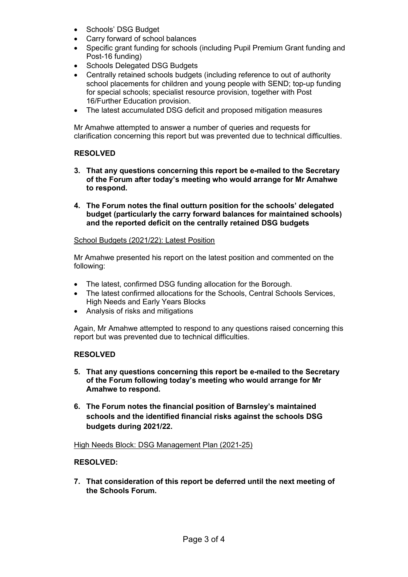- Schools' DSG Budget
- Carry forward of school balances
- Specific grant funding for schools (including Pupil Premium Grant funding and Post-16 funding)
- Schools Delegated DSG Budgets
- Centrally retained schools budgets (including reference to out of authority school placements for children and young people with SEND; top-up funding for special schools; specialist resource provision, together with Post 16/Further Education provision.
- The latest accumulated DSG deficit and proposed mitigation measures

Mr Amahwe attempted to answer a number of queries and requests for clarification concerning this report but was prevented due to technical difficulties.

# **RESOLVED**

- **3. That any questions concerning this report be e-mailed to the Secretary of the Forum after today's meeting who would arrange for Mr Amahwe to respond.**
- **4. The Forum notes the final outturn position for the schools' delegated budget (particularly the carry forward balances for maintained schools) and the reported deficit on the centrally retained DSG budgets**

# School Budgets (2021/22): Latest Position

Mr Amahwe presented his report on the latest position and commented on the following:

- The latest, confirmed DSG funding allocation for the Borough.
- The latest confirmed allocations for the Schools, Central Schools Services, High Needs and Early Years Blocks
- Analysis of risks and mitigations

Again, Mr Amahwe attempted to respond to any questions raised concerning this report but was prevented due to technical difficulties.

# **RESOLVED**

- **5. That any questions concerning this report be e-mailed to the Secretary of the Forum following today's meeting who would arrange for Mr Amahwe to respond.**
- **6. The Forum notes the financial position of Barnsley's maintained schools and the identified financial risks against the schools DSG budgets during 2021/22.**

# High Needs Block: DSG Management Plan (2021-25)

# **RESOLVED:**

**7. That consideration of this report be deferred until the next meeting of the Schools Forum.**